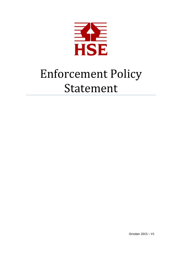

# Enforcement Policy Statement

October 2015 – V1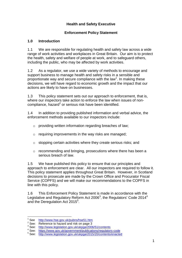## **Health and Safety Executive**

#### **Enforcement Policy Statement**

#### **1.0 Introduction**

1.1 We are responsible for regulating health and safety law across a wide range of work activities and workplaces in Great Britain. Our aim is to protect the health, safety and welfare of people at work, and to safeguard others, including the public, who may be affected by work activities.

1.2 As a regulator, we use a wide variety of methods to encourage and support business to manage health and safety risks in a sensible and proportionate way and secure compliance with the law<sup>1</sup>. In making these decisions, we will have regard to economic growth and the impact that our actions are likely to have on businesses.

1.3 This policy statement sets out our approach to enforcement, that is, where our inspectors take action to enforce the law when issues of noncompliance, hazard<sup>2</sup> or serious risk have been identified.

1.4 In addition to providing published information and verbal advice, the enforcement methods available to our inspectors include:

- o providing written information regarding breaches of law;
- $\circ$  requiring improvements in the way risks are managed:
- $\circ$  stopping certain activities where they create serious risks; and
- o recommending and bringing, prosecutions where there has been a serious breach of law.

1.5 We have published this policy to ensure that our principles and approach to enforcement are clear. All our inspectors are required to follow it. This policy statement applies throughout Great Britain. However, in Scotland decisions to prosecute are made by the Crown Office and Procurator Fiscal Service (COPFS) and we will make our recommendations to the COPFS in line with this policy.

1.6 This Enforcement Policy Statement is made in accordance with the Legislative and Regulatory Reform Act 2006<sup>3</sup>, the Regulators' Code 2014<sup>4</sup> and the Deregulation Act 2015<sup>5</sup>.

1

<sup>1</sup> See <http://www.hse.gov.uk/pubns/hse51.htm>

<sup>&</sup>lt;sup>2</sup> See: Reference to hazard and risk on page 3

<sup>&</sup>lt;sup>3</sup> See: <http://www.legislation.gov.uk/ukpga/2006/51/contents>

<sup>4</sup> See: <https://www.gov.uk/government/publications/regulators-code>

<sup>5</sup> See: <http://www.legislation.gov.uk/ukpga/2015/20/contents/enacted>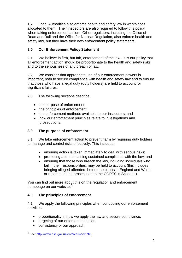1.7 Local Authorities also enforce health and safety law in workplaces allocated to them. Their inspectors are also required to follow this policy when taking enforcement action. Other regulators, including the Office of Road and Rail and the Office for Nuclear Regulation, also enforce health and safety law, but they have their own enforcement policy statements.

# **2.0 Our Enforcement Policy Statement**

2.1 We believe in firm, but fair, enforcement of the law. It is our policy that all enforcement action should be proportionate to the health and safety risks and to the seriousness of any breach of law.

2.2 We consider that appropriate use of our enforcement powers is important, both to secure compliance with health and safety law and to ensure that those who have a legal duty (duty holders) are held to account for significant failures.

2.3 The following sections describe:

- the purpose of enforcement;
- the principles of enforcement;
- the enforcement methods available to our inspectors; and
- how our enforcement principles relate to investigations and prosecutions.

# **3.0 The purpose of enforcement**

3.1 We take enforcement action to prevent harm by requiring duty holders to manage and control risks effectively. This includes:

- ensuring action is taken immediately to deal with serious risks;
- promoting and maintaining sustained compliance with the law; and
- ensuring that those who breach the law, including individuals who fail in their responsibilities, may be held to account (this includes bringing alleged offenders before the courts in England and Wales, or recommending prosecution to the COPFS in Scotland).

You can find out more about this on the regulation and enforcement homepage on our website.<sup>6</sup>

# **4.0 The principles of enforcement**

4.1 We apply the following principles when conducting our enforcement activities:

- proportionality in how we apply the law and secure compliance;
- targeting of our enforcement action;
- consistency of our approach;

 6 See:<http://www.hse.gov.uk/enforce/index.htm>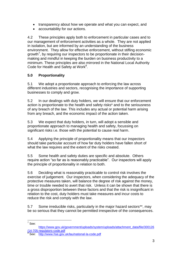- transparency about how we operate and what you can expect, and
- accountability for our actions.

4.2 These principles apply both to enforcement in particular cases and to our management of enforcement activities as a whole. They are not applied in isolation, but are informed by an understanding of the business environment. They allow for effective enforcement, without stifling economic growth<sup>7</sup>, by requiring our inspectors to be proportionate in their decisionmaking and mindful in keeping the burden on business productivity to a minimum. These principles are also mirrored in the National Local Authority Code for Health and Safety at Work<sup>8</sup>.

# **5.0 Proportionality**

5.1 We adopt a proportionate approach to enforcing the law across different industries and sectors, recognising the importance of supporting businesses to comply and grow.

5.2 In our dealings with duty holders, we will ensure that our enforcement action is proportionate to the health and safety risks\* and to the seriousness of any breach of the law. This includes any actual or potential harm arising from any breach, and the economic impact of the action taken.

5.3 We expect that duty holders, in turn, will adopt a sensible and proportionate approach to managing health and safety, focussing on significant risks i.e. those with the potential to cause real harm.

5.4 Applying the principle of proportionality means that our inspectors should take particular account of how far duty holders have fallen short of what the law requires and the extent of the risks created.

5.5 Some health and safety duties are specific and absolute. Others require action "so far as is reasonably practicable". Our inspectors will apply the principle of proportionality in relation to both.

5.6 Deciding what is reasonably practicable to control risk involves the exercise of judgement. Our inspectors, when considering the adequacy of the protective measures taken, will balance the degree of risk against the money, time or trouble needed to avert that risk. Unless it can be shown that there is a gross disproportion between these factors and that the risk is insignificant in relation to the cost, duty holders must take measures and incur costs to reduce the risk and comply with the law.

5.7 Some irreducible risks, particularly in the major hazard sectors\*\*, may be so serious that they cannot be permitted irrespective of the consequences.

 7 See:

[https://www.gov.uk/government/uploads/system/uploads/attachment\\_data/file/300126](https://www.gov.uk/government/uploads/system/uploads/attachment_data/file/300126/14-705-regulators-code.pdf) [/14-705-regulators-code.pdf](https://www.gov.uk/government/uploads/system/uploads/attachment_data/file/300126/14-705-regulators-code.pdf)<br><sup>8</sup> See: <http://www.hse.gov.uk/lau/national-la-code.pdf>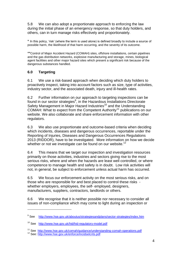5.8 We can also adopt a proportionate approach to enforcing the law during the initial phase of an emergency response, so that duty holders, and others, can in turn manage risks effectively and proportionately.

\* In this policy, 'risk' (where the term is used alone) is defined broadly to include a source of possible harm, the likelihood of that harm occurring, and the severity of its outcome.

\*\*Control of Major Accident Hazard (COMAH) sites, offshore installations, certain pipelines and the gas distribution networks, explosive manufacturing and storage, mines, biological agent facilities and other major hazard sites which present a significant risk because of the dangerous substances handled.

## **6.0 Targeting**

6.1 We use a risk-based approach when deciding which duty holders to proactively inspect, taking into account factors such as size, type of activities, industry sector, and the associated death, injury and ill-health rates.

6.2 Further information on our approach to targeting inspections can be found in our sector strategies<sup>9</sup>, in the Hazardous Installations Directorate Safety Management in Major Hazard Industries<sup>10</sup> and the Understanding COMAH: What to expect from the Competent Authority<sup>11</sup> publications on our website. We also collaborate and share enforcement information with other regulators.

6.3 We also use proportionate and outcome-based criteria when deciding which incidents, diseases and dangerous occurrences, reportable under the Reporting of Injuries, Diseases and Dangerous Occurrences Regulations 2013 (RIDDOR), have to be investigated. More information on how we decide whether or not we investigate can be found on our website.<sup>12</sup>

6.4 This means that we target our inspection and investigation resources primarily on those activities, industries and sectors giving rise to the most serious risks, where and when the hazards are least well controlled, or where competence to manage health and safety is in doubt. Low risk activities will not, in general, be subject to enforcement unless actual harm has occurred.

6.5 We focus our enforcement activity on the most serious risks, and on those who are responsible for and best placed to control these risks whether employers, employees, the self- employed, designers, manufacturers, suppliers, contractors, landlords or others.

6.6 We recognise that it is neither possible nor necessary to consider all issues of non-compliance which may come to light during an inspection or

1

<sup>&</sup>lt;sup>9</sup> See <http://www.hse.gov.uk/aboutus/strategiesandplans/sector-strategies/index.htm>

<sup>10</sup> See <http://www.hse.gov.uk/hid/hid-regulatory-model.pdf>

<sup>&</sup>lt;sup>11</sup> See [http://www.hse.gov.uk/comah/guidance/understanding-comah-operations.pdf](http://www.hse.gov.uk/comah/guidance/understanding-comah-operators.pdf)

<sup>12</sup> See:<http://www.hse.gov.uk/enforce/incidselcrits.pdf>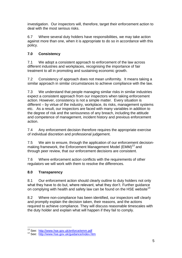investigation. Our inspectors will, therefore, target their enforcement action to deal with the most serious risks.

6.7 Where several duty holders have responsibilities, we may take action against more than one, when it is appropriate to do so in accordance with this policy.

# **7.0 Consistency**

7.1 We adopt a consistent approach to enforcement of the law across different industries and workplaces, recognising the importance of fair treatment to all in promoting and sustaining economic growth.

7.2 Consistency of approach does not mean uniformity. It means taking a similar approach in similar circumstances to achieve compliance with the law.

7.3 We understand that people managing similar risks in similar industries expect a consistent approach from our inspectors when taking enforcement action. However, consistency is not a simple matter. Every situation is different – by virtue of the industry, workplace, its risks, management systems etc. As a result, our inspectors are faced with many variables in addition to the degree of risk and the seriousness of any breach, including the attitude and competence of management, incident history and previous enforcement action.

7.4 Any enforcement decision therefore requires the appropriate exercise of individual discretion and professional judgement.

7.5 We aim to ensure, through the application of our enforcement decisionmaking framework, the Enforcement Management Model (EMM)<sup>13</sup> and through peer review, that our enforcement decisions are consistent.

7.6 Where enforcement action conflicts with the requirements of other regulators we will work with them to resolve the differences.

# **8.0 Transparency**

8.1 Our enforcement action should clearly outline to duty holders not only what they have to do but, where relevant, what they don't. Further guidance on complying with health and safety law can be found on the HSE website<sup>14</sup>

8.2 Where non-compliance has been identified, our inspectors will clearly and promptly explain the decision taken, their reasons, and the actions required to achieve compliance. They will discuss reasonable timescales with the duty holder and explain what will happen if they fail to comply.

<sup>1</sup> <sup>13</sup> See: <http://www.hse.gov.uk/enforce/emm.pdf>

<sup>14</sup> See: <http://www.hse.gov.uk/guidance/index.htm>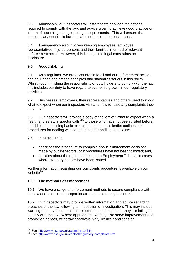8.3 Additionally, our inspectors will differentiate between the actions required to comply with the law, and advice given to achieve good practice or inform of upcoming changes to legal requirements. This will ensure that unnecessary economic burdens are not imposed on businesses.

8.4 Transparency also involves keeping employees, employee representatives, injured persons and their families informed of relevant enforcement action. However, this is subject to legal constraints on disclosure.

# **9.0 Accountability**

9.1 As a regulator, we are accountable to all and our enforcement actions can be judged against the principles and standards set out in this policy. Whilst not diminishing the responsibility of duty holders to comply with the law, this includes our duty to have regard to economic growth in our regulatory activities.

9.2 Businesses, employees, their representatives and others need to know what to expect when our inspectors visit and how to raise any complaints they may have.

9.3 Our inspectors will provide a copy of the leaflet "What to expect when a health and safety inspector calls<sup>"15</sup> to those who have not been visited before. In addition to outlining basic expectations of us, this leaflet outlines our procedures for dealing with comments and handling complaints.

9.4 In particular, it:

- describes the procedure to complain about enforcement decisions made by our inspectors, or if procedures have not been followed; and,
- explains about the right of appeal to an Employment Tribunal in cases where statutory notices have been issued.

Further information regarding our complaints procedure is available on our website<sup>16</sup>.

# **10.0 The methods of enforcement**

10.1 We have a range of enforcement methods to secure compliance with the law and to ensure a proportionate response to any breaches.

10.2 Our inspectors may provide written information and advice regarding breaches of the law following an inspection or investigation. This may include warning the dutyholder that, in the opinion of the inspector, they are failing to comply with the law. Where appropriate, we may also serve improvement and prohibition notices, withdraw approvals, vary licence conditions or

 15 See: <http://www.hse.gov.uk/pubns/hsc14.htm>

<sup>16</sup> See: <http://www.hse.gov.uk/contact/regulatory-complaints.htm>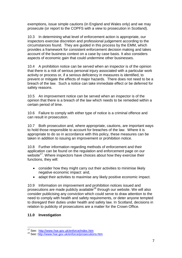exemptions, issue simple cautions (in England and Wales only) and we may prosecute (or report to the COPFS with a view to prosecution in Scotland).

10.3 In determining what level of enforcement action is appropriate, our inspectors exercise discretion and professional judgement according to the circumstances found. They are guided in this process by the EMM, which provides a framework for consistent enforcement decision making and takes account of the business context on a case by case basis. It also considers aspects of economic gain that could undermine other businesses.

10.4 A prohibition notice can be served when an inspector is of the opinion that there is a risk of serious personal injury associated with a particular work activity or process or, if a serious deficiency in measures is identified, to prevent or mitigate the effects of major hazards. There does not need to be a breach of the law. Such a notice can take immediate effect or be deferred for safety reasons.

10.5 An improvement notice can be served when an inspector is of the opinion that there is a breach of the law which needs to be remedied within a certain period of time.

10.6 Failure to comply with either type of notice is a criminal offence and can result in prosecution.

10.7 Both prosecution and, where appropriate, cautions, are important ways to hold those responsible to account for breaches of the law. Where it is appropriate to do so in accordance with this policy, these measures can be taken in addition to issuing an improvement or prohibition notice.

10.8 Further information regarding methods of enforcement and their application can be found on the regulation and enforcement page on our website<sup>17</sup>. Where inspectors have choices about how they exercise their functions, they will:

- consider how they might carry out their activities to minimise likely negative economic impact: and,
- adapt their activities to maximise any likely positive economic impact.

10.9 Information on improvement and prohibition notices issued and prosecutions are made publicly available<sup>18</sup> through our website. We will also consider publicising any conviction which could serve to draw attention to the need to comply with health and safety requirements, or deter anyone tempted to disregard their duties under health and safety law. In Scotland, decisions in relation to publicity of prosecutions are a matter for the Crown Office.

#### **11.0 Investigation**

1

<sup>&</sup>lt;sup>17</sup> See: <http://www.hse.gov.uk/enforce/index.htm>

<sup>18</sup> See:<http://www.hse.gov.uk/enforce/prosecutions.htm>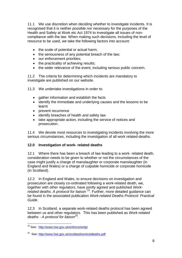11.1 We use discretion when deciding whether to investigate incidents. It is recognised that it is neither possible nor necessary for the purposes of the Health and Safety at Work etc Act 1974 to investigate all issues of noncompliance with the law. When making such decisions, including the level of resource to be used, we take the following factors into account:

- the scale of potential or actual harm:
- the seriousness of any potential breach of the law;
- our enforcement priorities;
- the practicality of achieving results;
- the wider relevance of the event, including serious public concern.

11.2 The criteria for determining which incidents are mandatory to investigate are published on our website.

- 11.3 We undertake investigations in order to:
	- gather information and establish the facts
	- identify the immediate and underlying causes and the lessons to be learnt
	- prevent recurrence
	- identify breaches of health and safety law
	- take appropriate action, including the service of notices and prosecution.

11.4 We devote most resources to investigating incidents involving the more serious circumstances, including the investigation of all work related-deaths.

# **12.0 Investigation of work- related deaths**

12.1 Where there has been a breach of law leading to a work- related death, consideration needs to be given to whether or not the circumstances of the case might justify a charge of manslaughter or corporate manslaughter (in England and Wales) or a charge of culpable homicide or corporate homicide (in Scotland).

12.2 In England and Wales, to ensure decisions on investigation and prosecution are closely co-ordinated following a work-related death, we, together with other regulators, have jointly agreed and published *Work*related deaths. A protocol for liaison<sup>19</sup>. Further, more detailed guidance can be found in the associated publication *Work-related Deaths Protocol: Practical Guide.*

12.3 In Scotland, a separate work-related deaths protocol has been agreed between us and other regulators. This has been published as *Work-related deaths - A protocol for liaison<sup>20</sup> .*

<sup>1</sup> <sup>19</sup> See: <http://www.hse.gov.uk/enforce/wrdp/>

<sup>&</sup>lt;sup>20</sup> See: <http://www.hse.gov.uk/scotland/workreldeaths.pdf>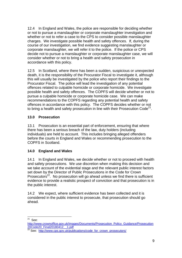12.4 In England and Wales, the police are responsible for deciding whether or not to pursue a manslaughter or corporate manslaughter investigation and whether or not to refer a case to the CPS to consider possible manslaughter charges. We investigate possible health and safety offences. If, during the course of our investigation, we find evidence suggesting manslaughter or corporate manslaughter, we will refer it to the police. If the police or CPS decide not to pursue a manslaughter or corporate manslaughter case, we will consider whether or not to bring a health and safety prosecution in accordance with this policy.

12.5 In Scotland, where there has been a sudden, suspicious or unexpected death, it is the responsibility of the Procurator Fiscal to investigate it, although this will usually be investigated by the police who report their findings to the Procurator Fiscal. The police will lead the investigation of any potential offences related to culpable homicide or corporate homicide. We investigate possible health and safety offences. The COPFS will decide whether or not to pursue a culpable homicide or corporate homicide case. We can make recommendations to the COPFS regarding any potential health and safety offences in accordance with this policy. The COPFS decides whether or not to bring a health and safety prosecution in line with their Prosecution Code<sup>21</sup>.

## **13.0 Prosecution**

13.1 Prosecution is an essential part of enforcement, ensuring that where there has been a serious breach of the law, duty holders (including individuals) are held to account. This includes bringing alleged offenders before the courts in England and Wales or recommending prosecution to the COPFS in Scotland.

# **14.0 England and Wales**

14.1 In England and Wales, we decide whether or not to proceed with health and safety prosecutions. We use discretion when making this decision and we take account of the evidential stage and the relevant public interest factors set down by the Director of Public Prosecutions in the Code for Crown Prosecutors $22$ . No prosecution will go ahead unless we find there is sufficient evidence to provide a realistic prospect of conviction and that prosecution is in the public interest.

14.2 We expect, where sufficient evidence has been collected and it is considered in the public interest to prosecute, that prosecution should go ahead.

 $\frac{1}{21}$ See:

[http://www.crownoffice.gov.uk/images/Documents/Prosecution\\_Policy\\_Guidance/Prosecution](http://www.crownoffice.gov.uk/images/Documents/Prosecution_Policy_Guidance/Prosecution20Code20_Final20180412__1.pdf) [20Code20\\_Final20180412\\_\\_1.pdf](http://www.crownoffice.gov.uk/images/Documents/Prosecution_Policy_Guidance/Prosecution20Code20_Final20180412__1.pdf)

<sup>&</sup>lt;sup>22</sup> See: [http://www.cps.gov.uk/publications/code\\_for\\_crown\\_prosecutors/](http://www.cps.gov.uk/publications/code_for_crown_prosecutors/)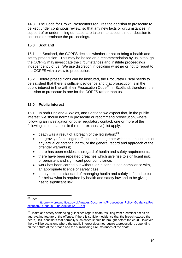14.3 The Code for Crown Prosecutors requires the decision to prosecute to be kept under continuous review, so that any new facts or circumstances, in support of or undermining our case, are taken into account in our decision to continue or terminate the proceedings.

# **15.0 Scotland**

15.1 In Scotland, the COPFS decides whether or not to bring a health and safety prosecution. This may be based on a recommendation by us, although the COPFS may investigate the circumstances and institute proceedings independently of us. We use discretion in deciding whether or not to report to the COPFS with a view to prosecution.

15.2 Before prosecutions can be instituted, the Procurator Fiscal needs to be satisfied that there is sufficient evidence and that prosecution is in the public interest in line with their Prosecution Code<sup>23</sup>. In Scotland, therefore, the decision to prosecute is one for the COPFS rather than us.

## **16.0 Public Interest**

16.1 In both England & Wales, and Scotland we expect that, in the public interest, we should normally prosecute or recommend prosecution, where, following an investigation or other regulatory contact, one or more of the following circumstances in the (non-exhaustive) list apply:

- $\bullet$  death was a result of a breach of the legislation;<sup>24</sup>
- the gravity of an alleged offence, taken together with the seriousness of any actual or potential harm, or the general record and approach of the offender warrants it;
- there has been reckless disregard of health and safety requirements;
- there have been repeated breaches which give rise to significant risk, or persistent and significant poor compliance;
- work has been carried out without, or in serious non-compliance with, an appropriate licence or safety case;
- a duty holder's standard of managing health and safety is found to be far below what is required by health and safety law and to be giving rise to significant risk;

1  $^{23}$  See:

[http://www.crownoffice.gov.uk/images/Documents/Prosecution\\_Policy\\_Guidance/Pro](http://www.crownoffice.gov.uk/images/Documents/Prosecution_Policy_Guidance/Prosecution20Code20_Final20180412__1.pdf) [secution20Code20\\_Final20180412\\_\\_1.pdf](http://www.crownoffice.gov.uk/images/Documents/Prosecution_Policy_Guidance/Prosecution20Code20_Final20180412__1.pdf)

 $24$  Health and safety sentencing guidelines regard death resulting from a criminal act as an aggravating feature of the offence. If there is sufficient evidence that the breach caused the death, HSE considers that normally such cases should be brought before the court. However, there will be occasions where the public interest does not require a prosecution, depending on the nature of the breach and the surrounding circumstances of the death.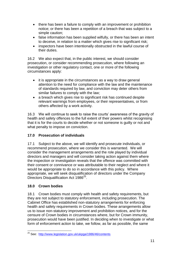- there has been a failure to comply with an improvement or prohibition notice; or there has been a repetition of a breach that was subject to a simple caution;
- false information has been supplied wilfully, or there has been an intent to deceive, in relation to a matter which gives rise to significant risk;
- inspectors have been intentionally obstructed in the lawful course of their duties.

16.2 We also expect that, in the public interest, we should consider prosecution, or consider recommending prosecution, where following an investigation or other regulatory contact, one or more of the following circumstances apply:

- it is appropriate in the circumstances as a way to draw general attention to the need for compliance with the law and the maintenance of standards required by law, and conviction may deter others from similar failures to comply with the law;
- a breach which gives rise to significant risk has continued despite relevant warnings from employees, or their representatives, or from others affected by a work activity.

16.3 We will continue to seek to raise the courts' awareness of the gravity of health and safety offences to the full extent of their powers whilst recognising that it is for the courts to decide whether or not someone is guilty or not and what penalty to impose on conviction.

# **17.0 Prosecution of individuals**

17.1 Subject to the above, we will identify and prosecute individuals, or recommend prosecution, where we consider this is warranted. We will consider the management arrangements and the role played by individual directors and managers and will consider taking action against them where the inspection or investigation reveals that the offence was committed with their consent or connivance or was attributable to their neglect and where it would be appropriate to do so in accordance with this policy. Where appropriate, we will seek disqualification of directors under the Company Directors Disqualification Act 1986<sup>25</sup>.

# **18.0 Crown bodies**

18.1 Crown bodies must comply with health and safety requirements, but they are not subject to statutory enforcement, including prosecution. The Cabinet Office has established non-statutory arrangements for enforcing health and safety requirements in Crown bodies. These arrangements allow us to issue non-statutory improvement and prohibition notices, and for the censure of Crown bodies in circumstances where, but for Crown immunity, prosecution would have been justified. In deciding when to investigate or what form of enforcement action to take, we follow, as far as possible, the same

<sup>1</sup> <sup>25</sup> See: <http://www.legislation.gov.uk/ukpga/1986/46/contents>